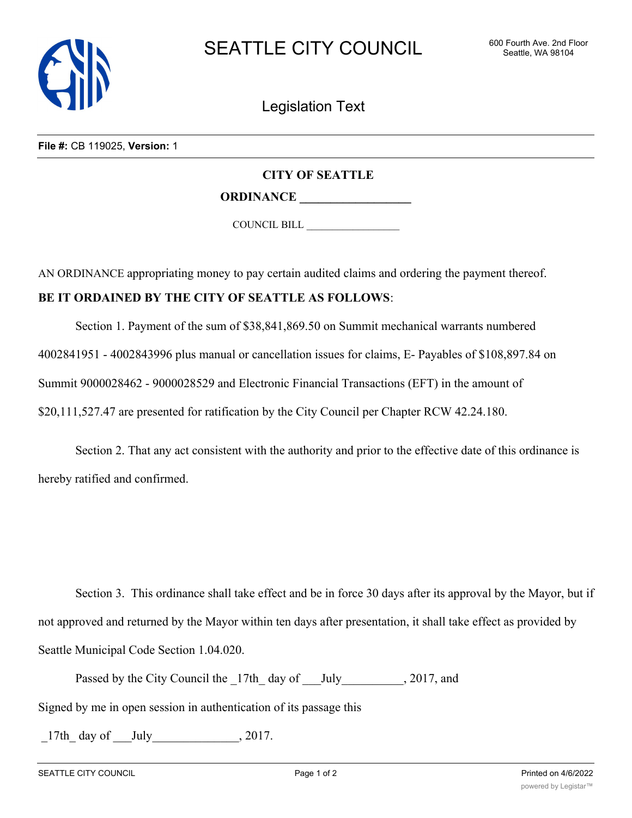

Legislation Text

**File #:** CB 119025, **Version:** 1

## **CITY OF SEATTLE**

**ORDINANCE \_\_\_\_\_\_\_\_\_\_\_\_\_\_\_\_\_\_**

COUNCIL BILL \_\_\_\_\_\_\_\_\_\_\_\_\_\_\_\_\_\_

AN ORDINANCE appropriating money to pay certain audited claims and ordering the payment thereof.

## **BE IT ORDAINED BY THE CITY OF SEATTLE AS FOLLOWS**:

Section 1. Payment of the sum of \$38,841,869.50 on Summit mechanical warrants numbered 4002841951 - 4002843996 plus manual or cancellation issues for claims, E- Payables of \$108,897.84 on Summit 9000028462 - 9000028529 and Electronic Financial Transactions (EFT) in the amount of \$20,111,527.47 are presented for ratification by the City Council per Chapter RCW 42.24.180.

Section 2. That any act consistent with the authority and prior to the effective date of this ordinance is hereby ratified and confirmed.

Section 3. This ordinance shall take effect and be in force 30 days after its approval by the Mayor, but if not approved and returned by the Mayor within ten days after presentation, it shall take effect as provided by Seattle Municipal Code Section 1.04.020.

Passed by the City Council the  $17th$  day of July , 2017, and

Signed by me in open session in authentication of its passage this

 $17th$  day of July  $\qquad \qquad$ , 2017.